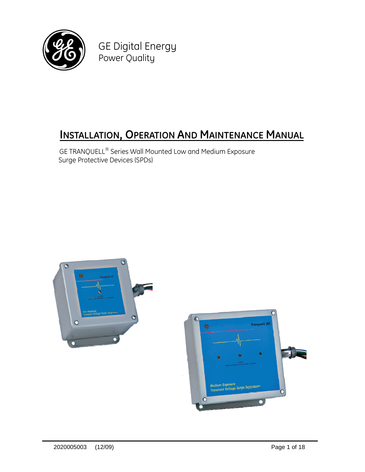

GE Digital Energy<br>Power Oualitu

### **INSTALLATION, OPERATION AND MAINTENANCE MANUAL**

INSTALLATION, OPERATION AND PIAINTENANCE PIA<br>GE TRANQUELL® Series Wall Mounted Low and Medium Exposure<br>Surge Protective Devices (SPDs)



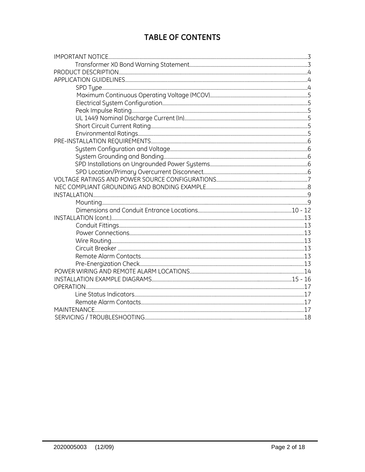#### **TABLE OF CONTENTS**

| .18 |
|-----|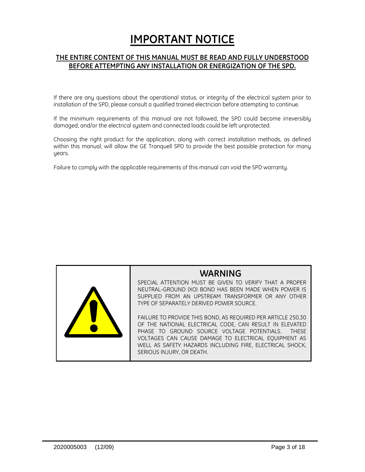### **IMPORTANT NOTICE**

# ENTIRE CONTENT OF THIS MANUAL MUST BE READ AND FULLY UNDERSTOOD<br>BEFORE ATTEMPTING ANY INSTALLATION OR ENERGIZATION OF THE SPD.

If there are any questions about the operational status, or integrity of the electrical system prior to<br>installation of the SPD, please consult a qualified trained electrician before attempting to continue.

If the minimum requirements of this manual are not followed, the SPD could become irreversibly<br>damaged, and/or the electrical sustem and connected loads could be left unprotected.

Choosing the right product for the application, along with correct installation methods, as defined<br>within this manual, will allow the GE Tranauell SPD to provide the best possible protection for manu within this manual, will allow the GE Tranguell SPD to provide the best possible protection for many years.

Failure to comply with the applicable requirements of this manual can void the SPD warranty.



## **WARNING**

WARNING<br>SPECIAL ATTENTION MUST BE GIVEN TO VERIFY THAT A PROPER<br>NEUTRAL-GROUND (XO) BOND HAS BEEN MADE WHEN POWER IS NEUTRAL-GROUND (XO) BOND HAS BEEN MADE WHEN POWER IS NEUTRAL-GROUND (XO) BOND HAS BEEN MADE WHEN POWER IS<br>SUPPLIED FROM AN UPSTREAM TRANSFORMER OR ANY OTHER<br>TYPE OF SEPARATELY DERIVED POWER SOURCE.

FAILURE TO PROVIDE THIS BOND, AS REQUIRED PER ARTICLE 250.30<br>OF THE NATIONAL ELECTRICAL CODE, CAN RESULT IN ELEVATED OF THE NATIONAL ELECTRICAL CODE, CAN RESULT IN ELEVATED |<br>PHASE TO GROUND SOURCE VOLTAGE POTENTIALS. THESE | PHASE TO GROUND SOURCE VOLTAGE POTENTIALS. PHASE TO GROUND SOURCE VOLTAGE POTENTIALS. THESE<br>VOLTAGES CAN CAUSE DAMAGE TO ELECTRICAL EQUIPMENT AS<br>WELL AS SAFETY HAZARDS INCLUDING FIRE, ELECTRICAL SHOCK, WELL AS SAFETY HAZARDS INCLUDING FIRE, ELECTRICAL SHOCK, SERIOUS INJURY, OR DEATH.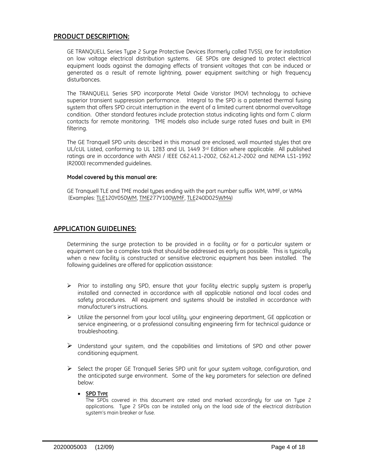#### PRODUCT DESCRIPTION:

GE TRANQUELL Series Type 2 Surge Protective Devices (formerly called TVSS), are for installation GE TRANQUELL Series Type 2 Surge Protective Devices (formerly called TVSS), are for installation<br>on low voltage electrical distribution systems. GE SPDs are designed to protect electrical<br>equipment loads against the damagi equipment loads against the damaging effects of transient voltages that can be induced or<br>generated as a result of remote lightning, power equipment switching or high frequency generated as a result of remote lightning, power equipment switching or high frequency disturbances.

 TRANQUELL Series SPD incorporate Metal Oxide Varistor (MOV) technology to achieve superior transient suppression performance. Integral to the SPD is <sup>a</sup> patented thermal fusing superior transient suppression performance. Integral to the SPD is a patented thermal fusing superior transient suppression performance. Integral to the SPD is a patented thermal fusing<br>system that offers SPD circuit interruption in the event of a limited current abnormal overvoltage<br>condition. Other standard feat condition. Other standard features include protection status indicating lights and form C alarm<br>contacts for remote monitoring. TME models also include surge rated fuses and built in EMI contacts for remote monitoring. TME models also include surge rated fuses and built in EMI filtering.

 GE Tranquell SPD units described in this manual are enclosed, wall mounted styles that are UL/cUL Listed, conforming to UL <sup>1283</sup> and UL <sup>1449</sup> <sup>3</sup>rd Edition where applicable. All published UL/cUL Listed, conforming to UL 1283 and UL 1449 3<sup>rd</sup> Edition where applicable. All published UL/cUL Listed, conforming to UL 1283 and UL 1449 3rd Edition where applicable. All published<br>ratings are in accordance with ANSI / IEEE C62.41.1-2002, C62.41.2-2002 and NEMA LS1-1992<br>(R2000) recommended auidelines.

#### **covered by this manual are:**

SE Tranquell TLE and TME model types ending with the part number suffix WM, WMF, or WM4<br>(Examples: TLE120Y050WM, TME277Y100WMF, TLE240D025WM4)

#### **APPLICATION GUIDELINES:**

Determining the surge protection to be provided in a facility or for a particular system or<br>equipment can be a complex task that should be addressed as early as possible. This is tupically equipment can be a complex task that should be addressed as early as possible. This is typically<br>when a new facilitu is constructed or sensitive electronic eauipment has been installed. The when a new facility is constructed or sensitive electronic e<br>following quidelines are offered for application assistance:

- Prior to installing any SPD, ensure that your facility electric supply system is properly installed and connected in accordance with all applicable national and localcodes and installed and connected in accordance with all applicable national and local codes and installed and connected in accordance with all applicable national and local codes and<br>safety procedures. All equipment and systems should be installed in accordance with<br>manufacturer's instructions.
- Utilize the personnel from your local utility, your engineering department, GE application or service engineering, or <sup>a</sup> professional consulting engineering firm for technical guidance or service engineering, or a professional consulting engineering firm for technical guidance or troubleshooting.
- Understand your system, and the capabilities and limitations of SPD and other power conditioning equipment.
- Select the proper GE Tranquell Series SPD unit for your system voltage, configuration, and the anticipated surge environment. Some of the key parameters for selection are defined the anticipated surge environment. Some of the key parameters for selection are defined helow<sup>.</sup>

## **SPD <sup>T</sup>YPE** The

<mark>SPD TYPE</mark><br>The SPDs covered in this document are rated and marked accordingly for use on Type 2<br>applications. Tupe 2 SPDs can be installed only on the load side of the electrical distribution applications. Type 2 SPDs cc<br>sustem's main breaker or fuse.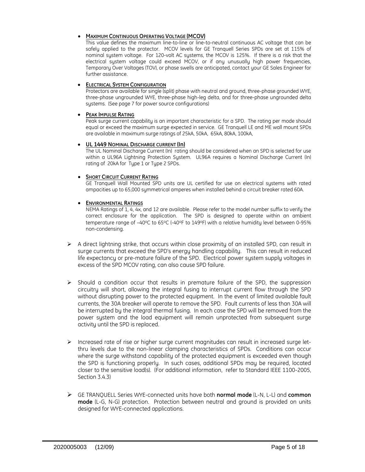### **<sup>M</sup>AXIMUM <sup>C</sup>ONTINUOUS <sup>O</sup>PERATING <sup>V</sup>OLTAGE (MCOV)** This

MAXIMUM CONTINUOUS OPERATING VOLTAGE (MCOV)<br>This value defines the maximum line-to-line or line-to-neutral continuous AC voltage that can be<br>safelu applied to the protector. MCOV levels for GE Tranauell Series SPDs are set safely applied to the protector. MCOV levels for GE Tranquell Series SPDs are set at 115% of<br>nominal sustem voltage. For 120-volt AC sustems, the MCOV is 125%. If there is a risk that the nominal system voltage. For 120-volt AC systems, the MCOV is 125%. If there is a risk that the<br>electrical system voltage could exceed MCOV, or if any unusually high power frequencies, electrical system voltage could exceed MCOV, or if any unusually high power frequencies, Temporary Over Volta<br>further assistance.

### **<sup>E</sup>LECTRICAL <sup>S</sup>YSTEM <sup>C</sup>ONFIGURATION** Protectors

**ELECTRICAL SYSTEM CONFIGURATION**<br>Protectors are available for single (split) phase with neutral and ground, three-phase grounded WYE, e available for single (split) phase with neutral and ground, three-phase grounded WYE,<br>ungrounded WYE, three-phase high-leg delta, and for three-phase ungrounded delta three-phase ungrounded WYE, three-phase high-leg delt<br>sustems. (See page 7 for power source configurations)

## **<sup>P</sup>EAK <sup>I</sup>MPULSE <sup>R</sup>ATING** Peak

**PEAK IMPULSE RATING**<br>Peak surge current capability is an important characteristic for a SPD. The rating per mode should<br>equal or exceed the maximum surge expected in service. GE Tranquell LE and ME wall mount SPDs equal or exceed the maximum surge expected in service. GE Tranquell LE an<br>are available in maximum surge ratings of 25kA, 50kA, 65kA, 80kA, 100kA,

### **UL 1449 NOMINAL DISCHARGE CURRENT (In)**

**UL 1449 Nominal Discharge current (In)**<br>The UL Nominal Discharge Current (In) rating should be considered when an SPD is selected for use<br>within a UL96A Liahtnina Protection Sustem. UL96A reauires a Nominal Discharae Cur within a UL96A Lightning Protection Systen<br>rating of 20kA.for Tupe 1 or Tupe 2 SPDs.

### **<sup>S</sup>HORT <sup>C</sup>IRCUIT <sup>C</sup>URRENT <sup>R</sup>ATING** GE

Tranquell Wall Mounted SPD units are UL certified for use on electrical systems with rated ampacities up to 65,000 symmetrical amperes when installed behind <sup>a</sup> circuit breaker rated 60A.

### **E**NVIRONMENTAL RATINGS

**ENVIRONMENTAL RATINGS**<br>NEMA Ratings of 1, 4, 4x, and 12 are available. Please refer to the model number suffix to verify the<br>correct enclosure for the application. The SPD is desianed to operate within an correct enclosure for the application. The SPD correct enclosure for the application. The SPD is designed to operate within an ambient<br>temperature range of –40°C to 65°C (-40°F to 149°F) with a relative humidity level between 0-95% non-condensing.

- Adirect lightning strike, that occurs within close proximity of an installed SPD, can result in surge currents that exceed the SPDís energy handling capability. This can result in reduced surge currents that exceed the SPD's energy handling capability. This can result in reduced<br>life expectancu or pre-mature failure of the SPD. Electrical power sustem supply voltages in life expectancy or pre-mature failure of the SPD. Electrical po<br>excess of the SPD MCOV rating, can also cause SPD failure.
- Should a condition occur that results in premature failure of the SPD, the suppression<br>circuitry will short, allowing the integral fusing to interrupt current flow through the SPD circuitry will short, allowing the integral fusing to interrupt current flow through the SPD<br>without disrupting power to the protected equipment. In the event of limited available fault without disrupting power to the protected equipment. In the event of limited available fault<br>currents, the 30A breaker will operate to remove the SPD. Fault currents of less than 30A will currents, the 30A breaker will operate to remove the SPD. Fault currents of less than 30A will currents, the 30A breaker will operate to remove the SPD. Fault currents of less than 30A will<br>be interrupted by the integral thermal fusing. In each case the SPD will be removed from the<br>power sustem and the load equipmen power system and the load equip<br>activitu until the SPD is replaced.
- Increased rate of rise or higher surge current magnitudes can result in increased surge let-thru levels due to the non-linear clamping characteristics of SPDs. Conditions can occur thru levels due to the non-linear clamping characteristics of SPDs. Conditions can occur thru levels due to the non-linear clamping characteristics of SPDs. Conditions can occur<br>where the surge withstand capability of the protected equipment is exceeded even though<br>the SPD is functioning properly. In such case the SPD is functioning properly. In such cases, additional SPDs may be required, located the SPD is functioning properly. In such cases, additional SPDs may be required, located<br>closer to the sensitive load(s). (For additional information, refer to Standard IEEE 1100-2005, ่<br>3.4.3)<br>3.4.3)
- GE TRANQUELL Series WYE-connected units have both **normal mode** (L-N, L-L) and **common mode** (L-G, N-G) protection. Protection between neutral and ground is provided on units mode (L-G, N-G) protection. Protection b<br>designed for WYE-connected applications.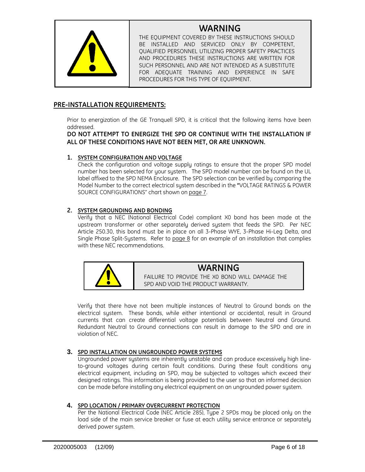

**WARNING**

WAKNING<br>THE EQUIPMENT COVERED BY THESE INSTRUCTIONS SHOULD THE EQUIPMENT COVERED BY THESE INSTRUCTIONS SHOULD<br>BE INSTALLED AND SERVICED ONLY BY COMPETENT, LED AND SERVICED ONLY BY COMPETENT,<br>PERSONNEL UTILIZING PROPER SAFETY PRACTICES OUALIFIED PERSONNEL UTILIZING PROPER SAFETY PRACTICES QUALIFIED PERSONNEL UTILIZING PROPER SAFETY PRACTICES<br>AND PROCEDURES THESE INSTRUCTIONS ARE WRITTEN FOR AND PROCEDURES THESE INSTRUCTIONS ARE WRITTEN FOR<br>SUCH PERSONNEL AND ARE NOT INTENDED AS A SUBSTITUTE<br>FOR ADEOUATE TRAINING AND EXPERIENCE IN SAFE FOR ADEQUATE TRAINING AND EXPERIEN<sub>'</sub><br>PROCEDURES FOR THIS TYPE OF EQUIPMENT.

#### **PRE-INSTALLATION REQUIREMENTS:**

Prior to energization of the GE Tranquell SPD, it is critical that the following items have been addressed.

# addressed.<br>DO NOT ATTEMPT TO ENERGIZE THE SPD OR CONTINUE WITH THE INSTALLATION IF<br>ALL OF THESE CONDITIONS HAVE NOT BEEN MET. OR ARE UNKNOWN.

## **SYSTEM CONFIGURATION AND VOLTAGE**

<mark>SYSTEM CONFIGURATION AND VOLTAGE</mark><br>Check the configuration and voltage supply ratings to ensure that the proper SPD model<br>number has been selected for uour sustem. The SPD model number can be found on the UL number has been selected for your system. The SPD model number can be found on the UL<br>label affixed to the SPD NEMA Enclosure. The SPD selection can be verified bu comparing the label affixed to the SPD NEMA Enclosure. The SPD selection can be verified by comparing the<br>Model Number to the correct electrical sustem described in the **''**VOLTAGE RATINGS & POWER Model Number to the correct electrical system described in<br>SOURCE CONFIGURATIONS" chart shown on page 7.

### **SYSTEM GROUNDING AND BONDING**

**SYSTEM GROUNDING AND BONDING**<br>Verify that a NEC (National Electrical Code) compliant X0 bond has been made at the Verify that a NEC (National Electrical Code) compliant X0 bond has been made at the<br>upstream transformer or other separately derived system that feeds the SPD. Per NEC<br>Article 250.30, this bond must be in place on all 3-P Article 250.30, this bond must be in place on all 3-Phase WYE, 3-Phase Hi-Leg Delta, and<br>Sinale Phase Split-Sustems. Refer to page 8 for an example of an installation that complies Single Phase Split-Systems. Refer to <mark>.</mark><br>with these NEC recommendations.



**WAKNING**<br>FAILURE TO PROVIDE THE X0 BOND WILL DAMAGE THE SPD AND VOID THE PRODUCT WARRANTY.

.<br>Verify that there have not been multiple instances of Neutral to Ground bonds on the Verify that there have not been multiple instances of Neutral to Ground bonds on the<br>electrical system. These bonds, while either intentional or accidental, result in Ground electrical system. These bonds, while either intentional or accidental, result in Ground<br>currents that can create differential voltage potentials between Neutral and Ground. at can create differential voltage potentials between Neutral and Ground.<br>Neutral to Ground connections can result in damage to the SPD and are in Redundant Neutral<br>violation of NEC.

### **3. SPD INSTALLATION ON UNGROUNDED POWER SYSTEMS** Ungrounded

<mark>SPD INSTALLATION ON UNGROUNDED POWER SYSTEMS</mark><br>Ungrounded power systems are inherently unstable and can produce excessively high line-<br>to-around voltages during certain fault conditions. During these fault conditions anu to-ground voltages during certain fault conditions. During these fault conditions any<br>electrical equipment, including an SPD, may be subiected to voltages which exceed their electrical equipment, including an SPD, may be subjected to voltages which exceed their<br>desianed ratinas. This information is beina provided to the user so that an informed decision designed ratings. This information is being provided to the user so that an informed decision<br>can be made before installing any electrical equipment on an ungrounded power system.

### **4. SPD LOCATION / PRIMARY OVERCURRENT PROTECTION** Per

<mark>SPD LOCATION / PRIMARY OVERCURRENT PROTECTION</mark><br>Per the National Electrical Code (NEC Article 285), Type 2 SPDs may be placed only on the<br>load side of the main service breaker or fuse at each utilitu service entrance or se load side of the main ser<mark>v</mark><br>derived power sustem.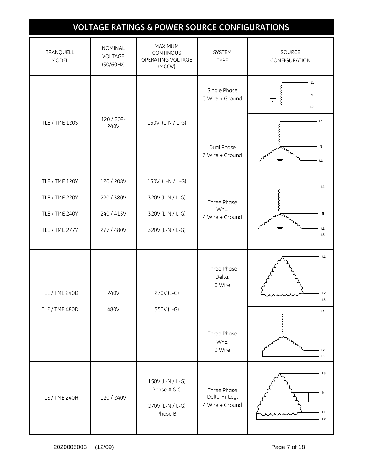| <b>VOLTAGE RATINGS &amp; POWER SOURCE CONFIGURATIONS</b> |                                 |                                                                |                                                 |                                     |  |
|----------------------------------------------------------|---------------------------------|----------------------------------------------------------------|-------------------------------------------------|-------------------------------------|--|
| TRANQUELL<br><b>MODEL</b>                                | NOMINAL<br>VOLTAGE<br>(50/60Hz) | MAXIMUM<br><b>CONTINOUS</b><br>OPERATING VOLTAGE<br>(MCOV)     | SYSTEM<br><b>TYPE</b>                           | SOURCE<br>CONFIGURATION             |  |
|                                                          |                                 |                                                                | Single Phase<br>3 Wire + Ground                 | L1<br>N<br>$\div$<br>L <sub>2</sub> |  |
| <b>TLE / TME 120S</b>                                    | 120 / 208-<br>240V              | 150V (L-N / L-G)                                               |                                                 | <b>L1</b>                           |  |
|                                                          |                                 |                                                                | Dual Phase<br>3 Wire + Ground                   | N<br>L <sub>2</sub>                 |  |
| <b>TLE / TME 120Y</b>                                    | 120 / 208V                      | 150V (L-N / L-G)                                               |                                                 | L1                                  |  |
| <b>TLE / TME 220Y</b>                                    | 220 / 380V                      | 320V (L-N / L-G)                                               | Three Phase                                     |                                     |  |
| <b>TLE / TME 240Y</b>                                    | 240 / 415V                      | 320V (L-N / L-G)                                               | WYE,<br>4 Wire + Ground                         |                                     |  |
| <b>TLE / TME 277Y</b>                                    | 277 / 480V                      | 320V (L-N / L-G)                                               |                                                 | L <sub>2</sub><br>L3                |  |
|                                                          |                                 |                                                                | Three Phase<br>Delta,<br>3 Wire                 | $-L1$                               |  |
| <b>TLE / TME 240D</b>                                    | 240V                            | 270V (L-G)                                                     |                                                 | L <sub>2</sub><br>L3                |  |
| <b>TLE / TME 480D</b>                                    | 480V                            | 550V (L-G)                                                     |                                                 | $-L1$                               |  |
|                                                          |                                 |                                                                | Three Phase<br>WYE,<br>3 Wire                   | L <sub>2</sub><br>L3                |  |
| <b>TLE / TME 240H</b>                                    | 120 / 240V                      | 150V (L-N / L-G)<br>Phase A & C<br>270V (L-N / L-G)<br>Phase B | Three Phase<br>Delta Hi-Leg,<br>4 Wire + Ground | L3<br>N<br>L1<br>L2                 |  |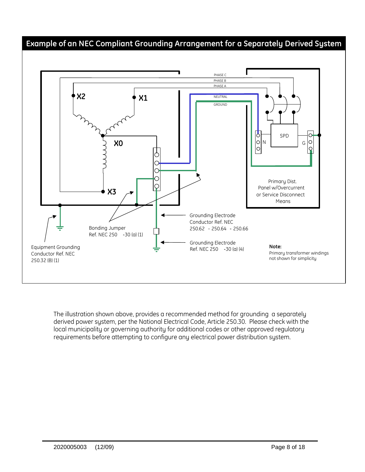#### **of an NEC Compliant Grounding Arrangement for <sup>a</sup> Separately Derived System**



The illustration shown above, provides a recommended method for grounding a separately<br>derived power sustem, per the National Electrical Code, Article 250.30. Please check with the derived power system, per the National Electrical Code, Article 250.30. Please check with the<br>local municipality or aoverning authority for additional codes or other approved regulatory local municipality or governing authority for additional codes or other approved regulator<br>requirements before attempting to configure any electrical power distribution sustem.

**Example**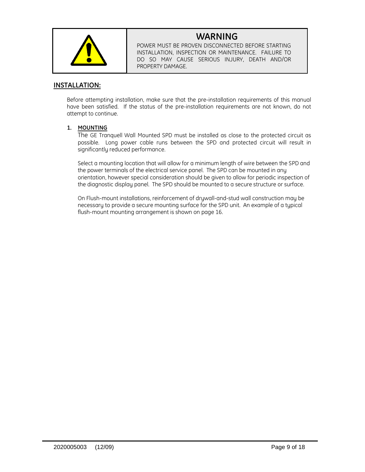

# **WARNING**

UUARNING<br>POWER MUST BE PROVEN DISCONNECTED BEFORE STARTING POWER MUST BE PROVEN DISCONNECTED BEFORE STARTING<br>INSTALLATION, INSPECTION OR MAINTENANCE. FAILURE TO<br>DO SO MAY CAUSE SERIOUS INJURY. DEATH AND/OR DO SO MAY CAU<br>PROPERTY DAMAGE.

#### **INSTALLATION:INSTALLATION:**

 attempting installation, make sure that the pre-installation requirements of this manual have been satisfied. If the status of the pre-installation requirements are not known, do not have been satisfied. If<br>attempt to continue.

## **MOUNTING** The

<u>MOUNTING</u><br>The GE Tranquell Wall Mounted SPD must be installed as close to the protected circuit as The GE Tranquell Wall Mounted SPD must be installed as close to the protected circuit as<br>possible. Long power cable runs between the SPD and protected circuit will result in<br>significantly reduced performance.

Select a mounting location that will allow for a minimum length of wire between the SPD and<br>the power terminals of the electrical service panel. The SPD can be mounted in anu the power terminals of the electrical service panel. The SPD can be mounted in any the power terminals of the electrical service panel. The SPD can be mounted in any<br>orientation, however special consideration should be given to allow for periodic inspection of<br>the diagnostic display panel. The SPD should

 Flush-mount installations, reinforcement of drywall-and-stud wall construction may be necessaryOn Flush-mount installations, reinforcement of drywall-and-stud wall construction may be<br>necessary to provide a secure mounting surface for the SPD unit. An example of a typical<br>flush-mount mounting arrangement is shown o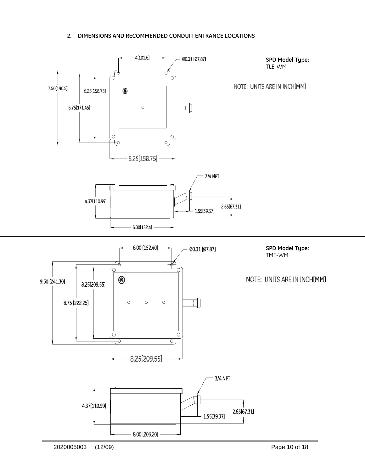#### **DIMENSIONS AND RECOMMENDED CONDUIT ENTRANCE LOCATIONS**

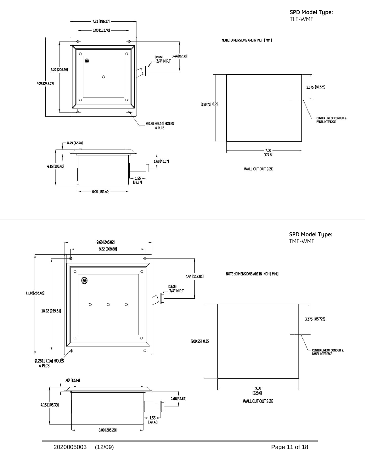SPD Model Type: TLE-WMF



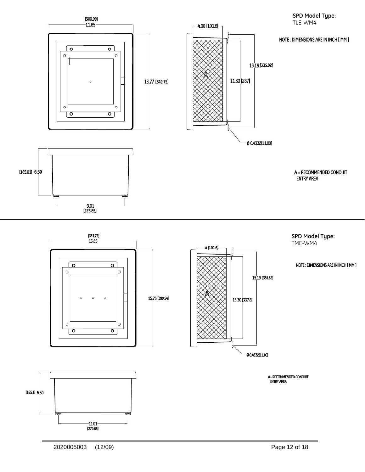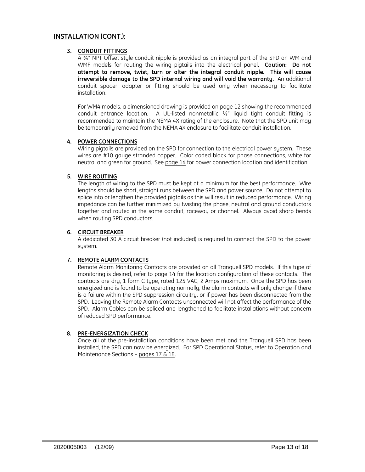#### **(CONT.):**

### **CONDUIT FITTINGS** A

 æî NPT Offset style conduit nipple is provided as an integral part of the SPD on WM and WMF models for routing the wiring pigtails into the electrical panel**. Caution: Do not attempt to remove, twist, turn or alter the integral conduit nipple. This will cause irreversible damage to the SPD internal wiring and will void the warranty.** An additional **irreversible damage to the SPD internal wiring and will void the warranty.** An additional<br>conduit spacer, adapter or fittina should be used only when necessary to facilitate conduit spacer, adapter or fitting should be used only when necessary to facilitate installation.

For WM4 models, a dimensioned drawing is provided on page 12 showing the recommended For WM4 models, a dimensioned drawing is provided on page 12 showing the recommended<br>conduit entrance location. A UL-listed nonmetallic ½" liquid tight conduit fitting is<br>recommended to maintain the NEMA 4X r recommended to maintain the NEMA 4X rating of the enclosure. Note that the SPD unit<br>be temporarily removed from the NEMA 4X enclosure to facilitate conduit installation.

### **POWER CONNECTIONS**

POWER CONNECTIONS<br>Wiring pigtails are provided on the SPD for connection to the electrical power system. These<br>wires are #10 gauge stranded copper. Color coded black for phase connections, white for wires are #10 gauge stranded copper. Color coded black for phase connections, white for<br>neutral and areen for around. See page 14 for power connection location and identification.

### **WIRE ROUTING** The

WIRE ROUTING<br>The length of wiring to the SPD must be kept at a minimum for the best performance. Wire<br>lenaths should be short, straight runs between the SPD and power source. Do not attempt to lengths should be short, straight runs between the SPD and power source. Do not attempt to<br>splice into or lenathen the provided piatails as this will result in reduced performance. Wiring splice into or lengthen the provided pigtails as this will result in reduced performance. Wiring<br>impedance can be further minimized bu twistina the phase, neutral and around conductors impedance can be further minimized by twisting the phase, neutral and ground conductors impedance can be further minimized by twisting the phase, neutral and ground conductors<br>together and routed in the same conduit, raceway or channel. Always avoid sharp bends<br>when routing SPD conductors.

### **CIRCUIT BREAKER** A

CIRCUIT BREAKER<br>A dedicated 30 A circuit breaker (not included) is required to connect the SPD to the power system.

### **REMOTE ALARM CONTACTS** Remote

REMOTE ALARM CONTACTS<br>Remote Alarm Monitoring Contacts are provided on all Tranquell SPD models. If this type of<br>monitoring is desired, refer to page 14 for the location configuration of these contacts. The monitoring is desired, refer to <u>page 14</u> for the location configuration of these contacts. The<br>contacts are dru. 1 form C tupe, rated 125 VAC, 2 Amps maximum. Once the SPD has been contacts are dry, 1 form C type, rated 125 VAC, 2 Amps maximum. Once the SPD has been<br>eneraized and is found to be operatina normallu, the alarm contacts will onlu change if there energized and is found to be operating normally, the alarm contacts will only change if there energized and is found to be operating normally, the alarm contacts will only change if there<br>is a failure within the SPD suppression circuitry, or if power has been disconnected from the<br>SPD. Leaving the Remote Alarm Cont SPD. Leaving the Remote Alarm Contacts unconnected will not affect the performance of the<br>SPD. Alarm Cables can be spliced and lenathened to facilitate installations without concern SPD. Alarm Cables can be splice<br>of reduced SPD performance.

### **PRE-ENERGIZATION CHECK** Once

PRE-ENERGIZATION CHECK<br>Once all of the pre-installation conditions have been met and the Tranquell SPD has been<br>installed, the SPD can now be eneraized. For SPD Operational Status, refer to Operation and installed, the SPD can now be energized. For !<br>Maintenance Sections – pages 17 & 18.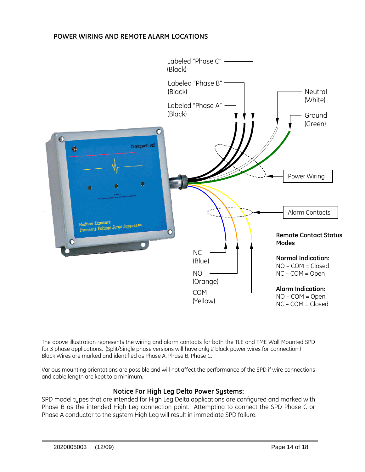#### **POWER WIRING AND REMOTE ALARM LOCATIONS**



The above illustration represents the wiring and alarm contacts for both the TLE and TME Wall Mounted SPD<br>for 3 phase applications. (Split/Single phase versions will have only 2 black power wires for connection.) for 3 phase applications. (Split/Single phase versions will have only 2 black<br>Black Wires are marked and identified as Phase A, Phase B, Phase C.

Various mounting orientations are possible and will not affect the performance of the SPD if wire connections<br>and cable lenath are kept to a minimum. and cable length are kept to a minimum.

#### **For High Leg Delta Power Systems:**

**Notice For High Leg Delta Power Systems:**<br>SPD model types that are intended for High Leg Delta applications are configured and marked with<br>Phase B as the intended High Leg connection point. Attempting to connect the SPD P Phase B as the intended High Leg connection point. Attempting to connect the<br>Phase A conductor to the sustem High Leg will result in immediate SPD failure.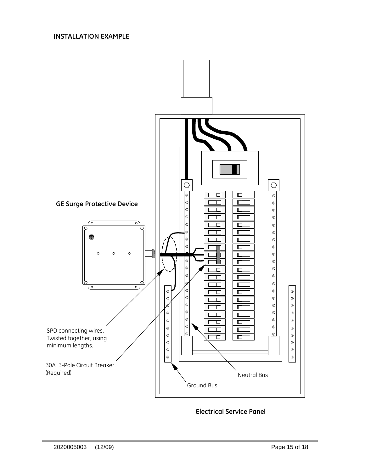#### **INSTALLATION EXAMPLE**



#### **Electrical Service Panel**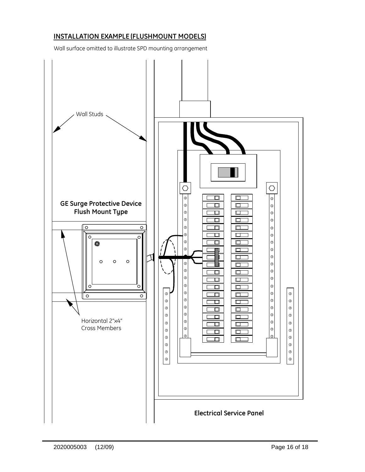#### **EXAMPLE (FLUSHMOUNT MODELS)**  $\frac{m}{2}$

Wall surface omitted to illustrate SPD mounting arrangement

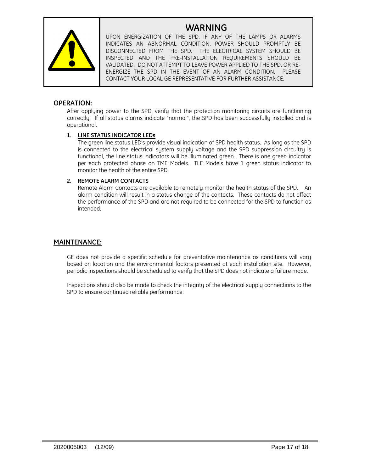

**WARNING**

**WARNING<br>The Energization of the spd, if any of the lamps or alarms<br>Indicates an Abnormal condition, power should promptly be** INDICATES AN ABNORMAL CONDITION, POWER SHOULD PROMPTLY BE INDICATES AN ABNORMAL CONDITION, POWER SHOULD PROMPTLY BE<br>DISCONNECTED FROM THE SPD. THE ELECTRICAL SYSTEM SHOULD BE<br>INSPECTED AND THE PRE-INSTALLATION REOUIREMENTS SHOULD BE INSPECTED AND THE PRE-INSTALLATION REOUIREMENTS SHOULD BE VALIDATED. DO NOT ATTEMPT TO LEAVE POWER APPLIED TO THE SPD, OR RE-VALIDATED. DO NOT ATTEMPT TO LEAVE POWER APPLIED TO THE SPD, OR RE-<br>ENERGIZE THE SPD IN THE EVENT OF AN ALARM CONDITION. PLEASE<br>CONTACT YOUR LOCAL GE REPRESENTATIVE FOR FURTHER ASSISTANCE.

#### **OPERATION:**

**RATION:**<br>After applying power to the SPD, verify that the protection monitoring circuits are functioning<br>correctlu. If all status alarms indicate "normal", the SPD has been successfullu installed and is correctly. If all status alarms indicate "normal", the SPD has been successfully installed and is operational.

## **LINE STATUS INDICATOR LEDs** The

LINE STATUS INDICATOR LEDs<br>The green line status LED's provide visual indication of SPD health status. As long as the SPD<br>is connected to the electrical sustem supplu voltage and the SPD suppression circuitru is is connected to the electrical system supply voltage and the SPD suppression circuitry is<br>functional, the line status indicators will be illuminated green. There is one green indicator functional, the line status indicators will be illuminated green. There is one green indicator<br>per each protected phase on TME Models. TLE Models have 1 green status indicator to per each protected phase on TME Mo<br>monitor the health of the entire SPD.

## **REMOTE ALARM CONTACTS** Remote

REMOTE ALARM CONTACTS<br>Remote Alarm Contacts are available to remotely monitor the health status of the SPD. An<br>alarm condition will result in a status change of the contacts. These contacts do not affect alarm condition will result in a status change of the contacts. These contacts do not affect<br>the performance of the SPD and are not required to be connected for the SPD to function as the performance of the SPD and are not required to be connected for the SPD to function as hehretai

#### **MAINTENANCE:**

GE does not provide a specific schedule for preventative maintenance as conditions will vary GE does not provide a specific schedule for preventative maintenance as conditions will vary<br>based on location and the environmental factors presented at each installation site. However, n location and the environmental factors presented at each installation site. However,<br>inspections should be scheduled to verifu that the SPD does not indicate a failure mode.

Inspections should also be made to check the integrity of the electrical supply connections to the<br>SPD to ensure continued reliable performance.